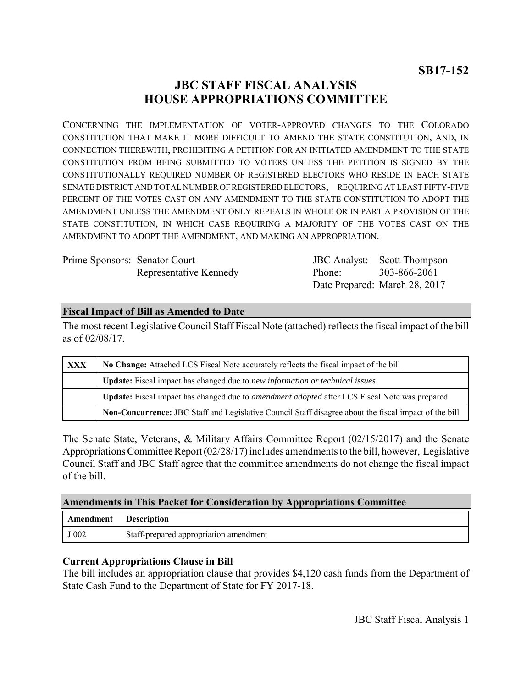## **JBC STAFF FISCAL ANALYSIS HOUSE APPROPRIATIONS COMMITTEE**

CONCERNING THE IMPLEMENTATION OF VOTER-APPROVED CHANGES TO THE COLORADO CONSTITUTION THAT MAKE IT MORE DIFFICULT TO AMEND THE STATE CONSTITUTION, AND, IN CONNECTION THEREWITH, PROHIBITING A PETITION FOR AN INITIATED AMENDMENT TO THE STATE CONSTITUTION FROM BEING SUBMITTED TO VOTERS UNLESS THE PETITION IS SIGNED BY THE CONSTITUTIONALLY REQUIRED NUMBER OF REGISTERED ELECTORS WHO RESIDE IN EACH STATE SENATE DISTRICT AND TOTAL NUMBER OF REGISTERED ELECTORS, REQUIRING AT LEAST FIFTY-FIVE PERCENT OF THE VOTES CAST ON ANY AMENDMENT TO THE STATE CONSTITUTION TO ADOPT THE AMENDMENT UNLESS THE AMENDMENT ONLY REPEALS IN WHOLE OR IN PART A PROVISION OF THE STATE CONSTITUTION, IN WHICH CASE REQUIRING A MAJORITY OF THE VOTES CAST ON THE AMENDMENT TO ADOPT THE AMENDMENT, AND MAKING AN APPROPRIATION.

Prime Sponsors: Senator Court Representative Kennedy

JBC Analyst: Scott Thompson Phone: Date Prepared: March 28, 2017 303-866-2061

### **Fiscal Impact of Bill as Amended to Date**

The most recent Legislative Council Staff Fiscal Note (attached) reflects the fiscal impact of the bill as of 02/08/17.

| <b>XXX</b> | No Change: Attached LCS Fiscal Note accurately reflects the fiscal impact of the bill                       |
|------------|-------------------------------------------------------------------------------------------------------------|
|            | <b>Update:</b> Fiscal impact has changed due to new information or technical issues                         |
|            | <b>Update:</b> Fiscal impact has changed due to <i>amendment adopted</i> after LCS Fiscal Note was prepared |
|            | Non-Concurrence: JBC Staff and Legislative Council Staff disagree about the fiscal impact of the bill       |

The Senate State, Veterans, & Military Affairs Committee Report (02/15/2017) and the Senate Appropriations Committee Report (02/28/17) includes amendments to the bill, however, Legislative Council Staff and JBC Staff agree that the committee amendments do not change the fiscal impact of the bill.

#### **Amendments in This Packet for Consideration by Appropriations Committee**

| Amendment | <b>Description</b>                     |
|-----------|----------------------------------------|
| J.002     | Staff-prepared appropriation amendment |

#### **Current Appropriations Clause in Bill**

The bill includes an appropriation clause that provides \$4,120 cash funds from the Department of State Cash Fund to the Department of State for FY 2017-18.